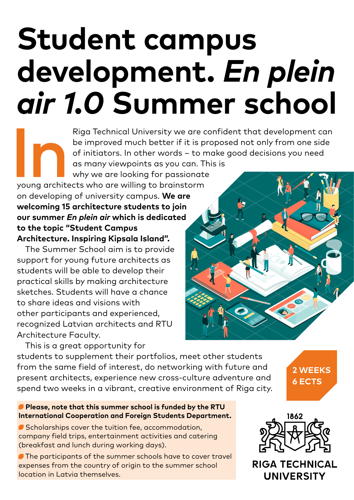# **Student campus development.** *En plein air 1.0* **Summer school**

Riga Technical University we are confident that development can<br>be improved much better if it is proposed not only from one side<br>of initiators. In other words – to make good decisions you need<br>as many viewpoints as you can be improved much better if it is proposed not only from one side of initiators. In other words – to make good decisions you need as many viewpoints as you can. This is why we are looking for passionate

young architects who are willing to brainstorm on developing of university campus. **We are welcoming 15 architecture students to join our summer** *En plein air* **which is dedicated to the topic "Student Campus Architecture. Inspiring Kipsala Island".** 

The Summer School aim is to provide support for young future architects as students will be able to develop their practical skills by making architecture sketches. Students will have a chance to share ideas and visions with other participants and experienced, recognized Latvian architects and RTU Architecture Faculty.

This is a great opportunity for students to supplement their portfolios, meet other students from the same field of interest, do networking with future and present architects, experience new cross-culture adventure and spend two weeks in a vibrant, creative environment of Riga city.

**2 weeks 6 ECTS**

#### **Please, note that this summer school is funded by the RTU International Cooperation and Foreign Students Department.**

Scholarships cover the tuition fee, accommodation, company field trips, entertainment activities and catering (breakfast and lunch during working days).

 The participants of the summer schools have to cover travel expenses from the country of origin to the summer school location in Latvia themselves.



**RIGA TECHNICAL UNIVERSITY**